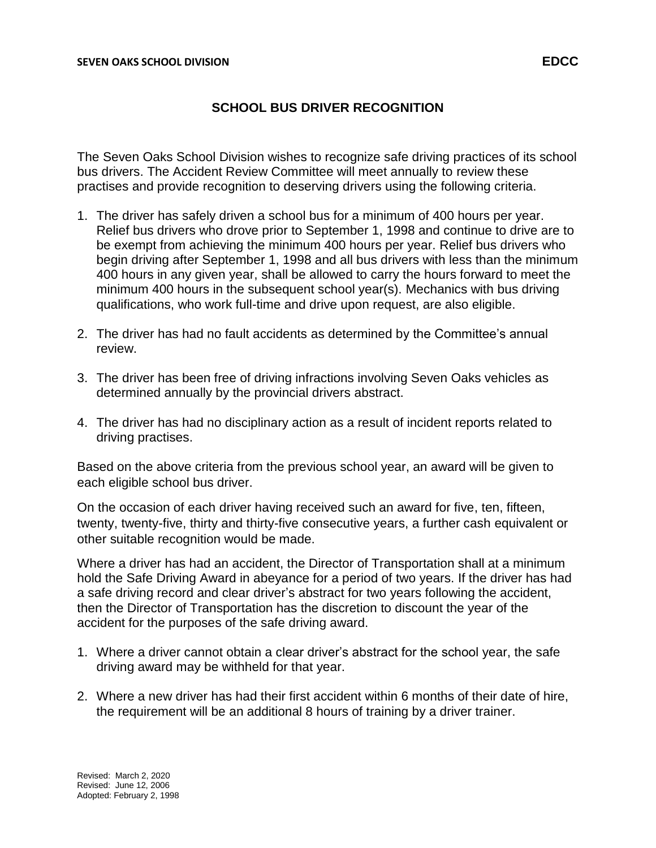## **SCHOOL BUS DRIVER RECOGNITION**

The Seven Oaks School Division wishes to recognize safe driving practices of its school bus drivers. The Accident Review Committee will meet annually to review these practises and provide recognition to deserving drivers using the following criteria.

- 1. The driver has safely driven a school bus for a minimum of 400 hours per year. Relief bus drivers who drove prior to September 1, 1998 and continue to drive are to be exempt from achieving the minimum 400 hours per year. Relief bus drivers who begin driving after September 1, 1998 and all bus drivers with less than the minimum 400 hours in any given year, shall be allowed to carry the hours forward to meet the minimum 400 hours in the subsequent school year(s). Mechanics with bus driving qualifications, who work full-time and drive upon request, are also eligible.
- 2. The driver has had no fault accidents as determined by the Committee's annual review.
- 3. The driver has been free of driving infractions involving Seven Oaks vehicles as determined annually by the provincial drivers abstract.
- 4. The driver has had no disciplinary action as a result of incident reports related to driving practises.

Based on the above criteria from the previous school year, an award will be given to each eligible school bus driver.

On the occasion of each driver having received such an award for five, ten, fifteen, twenty, twenty-five, thirty and thirty-five consecutive years, a further cash equivalent or other suitable recognition would be made.

Where a driver has had an accident, the Director of Transportation shall at a minimum hold the Safe Driving Award in abeyance for a period of two years. If the driver has had a safe driving record and clear driver's abstract for two years following the accident, then the Director of Transportation has the discretion to discount the year of the accident for the purposes of the safe driving award.

- 1. Where a driver cannot obtain a clear driver's abstract for the school year, the safe driving award may be withheld for that year.
- 2. Where a new driver has had their first accident within 6 months of their date of hire, the requirement will be an additional 8 hours of training by a driver trainer.